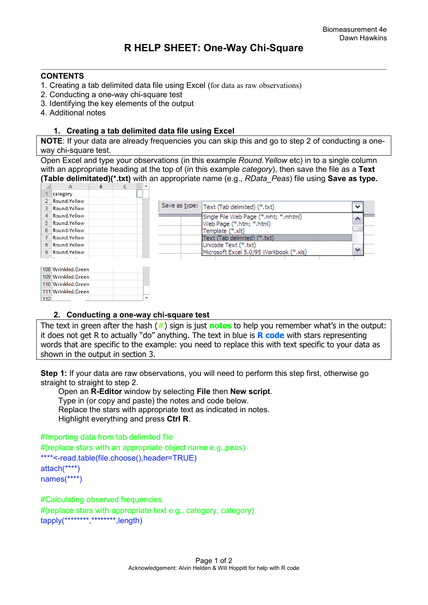## **CONTENTS**

- 1. Creating a tab delimited data file using Excel (for data as raw observations)
- 2. Conducting a one-way chi-square test
- 3. Identifying the key elements of the output
- 4. Additional notes

## **1. Creating a tab delimited data file using Excel**

**NOTE**: If your data are already frequencies you can skip this and go to step 2 of conducting a oneway chi-square test.

Open Excel and type your observations (in this example *Round.Yellow* etc) in to a single column with an appropriate heading at the top of (in this example *category*), then save the file as a **Text (Table delimitated)(\*.txt)** with an appropriate name (e.g., *RData\_Peas*) file using **Save as type.** 



## **2. Conducting a one-way chi-square test**

The text in green after the hash (**#**) sign is just **notes** to help you remember what's in the output: it does not get R to actually "do" anything. The text in blue is **R code** with stars representing words that are specific to the example: you need to replace this with text specific to your data as shown in the output in section 3.

**Step 1:** If your data are raw observations, you will need to perform this step first, otherwise go straight to straight to step 2.

 Open an **R-Editor** window by selecting **File** then **New script**. Type in (or copy and paste) the notes and code below. Replace the stars with appropriate text as indicated in notes. Highlight everything and press **Ctrl R**.

```
#Importing data from tab delimited file 
#(replace stars with an appropriate object name e.g.,peas)
****<-read.table(file.choose(),header=TRUE)
attach(****)
names(****)
```
#Calculating observed frequencies #(replace stars with appropriate text e.g., category, category) tapply(\*\*\*\*\*\*\*\*,\*\*\*\*\*\*\*\*,length)